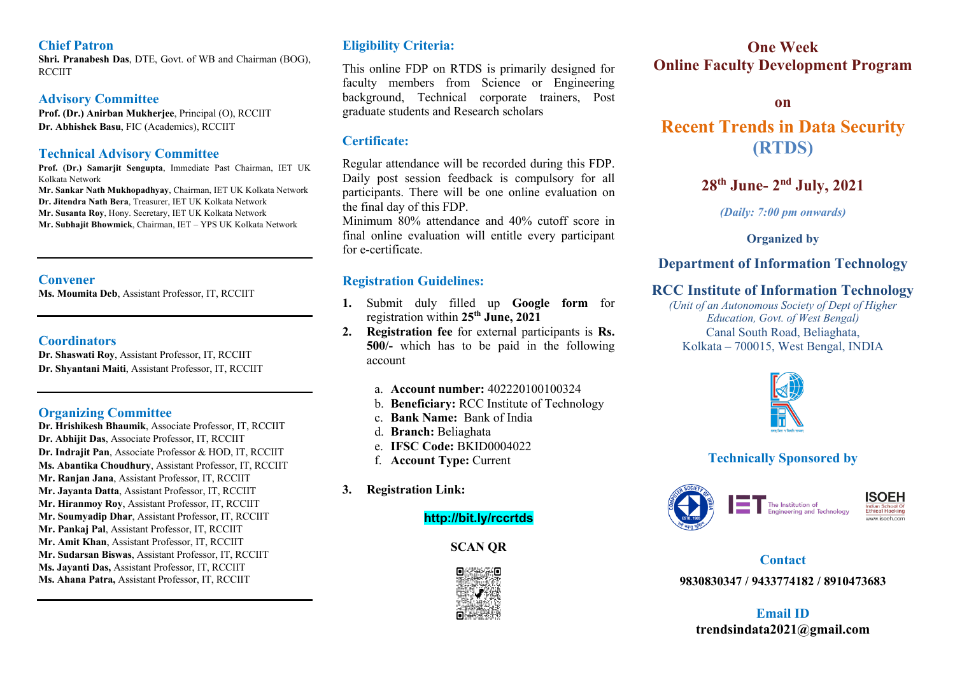### **Chief Patron**

**Shri. Pranabesh Das**, DTE, Govt. of WB and Chairman (BOG), **RCCIIT** 

### **Advisory Committee**

**Prof. (Dr.) Anirban Mukherjee**, Principal (O), RCCIIT **Dr. Abhishek Basu**, FIC (Academics), RCCIIT

## **Technical Advisory Committee**

**Prof. (Dr.) Samarjit Sengupta**, Immediate Past Chairman, IET UK Kolkata Network

**Mr. Sankar Nath Mukhopadhyay**, Chairman, IET UK Kolkata Network **Dr. Jitendra Nath Bera**, Treasurer, IET UK Kolkata Network **Mr. Susanta Roy**, Hony. Secretary, IET UK Kolkata Network **Mr. Subhajit Bhowmick**, Chairman, IET – YPS UK Kolkata Network

## **Convener**

**Ms. Moumita Deb**, Assistant Professor, IT, RCCIIT

### **Coordinators**

**Dr. Shaswati Roy**, Assistant Professor, IT, RCCIIT **Dr. Shyantani Maiti**, Assistant Professor, IT, RCCIIT

## **Organizing Committee**

**Dr. Hrishikesh Bhaumik**, Associate Professor, IT, RCCIIT **Dr. Abhijit Das**, Associate Professor, IT, RCCIIT **Dr. Indrajit Pan**, Associate Professor & HOD, IT, RCCIIT **Ms. Abantika Choudhury**, Assistant Professor, IT, RCCIIT **Mr. Ranjan Jana**, Assistant Professor, IT, RCCIIT **Mr. Jayanta Datta**, Assistant Professor, IT, RCCIIT **Mr. Hiranmoy Roy**, Assistant Professor, IT, RCCIIT **Mr. Soumyadip Dhar**, Assistant Professor, IT, RCCIIT **Mr. Pankaj Pal**, Assistant Professor, IT, RCCIIT **Mr. Amit Khan**, Assistant Professor, IT, RCCIIT **Mr. Sudarsan Biswas**, Assistant Professor, IT, RCCIIT **Ms. Jayanti Das,** Assistant Professor, IT, RCCIIT **Ms. Ahana Patra,** Assistant Professor, IT, RCCIIT

# **Eligibility Criteria:**

This online FDP on RTDS is primarily designed for faculty members from Science or Engineering background, Technical corporate trainers, Post graduate students and Research scholars

# **Certificate:**

Regular attendance will be recorded during this FDP. Daily post session feedback is compulsory for all participants. There will be one online evaluation on the final day of this FDP.

Minimum 80% attendance and 40% cutoff score in final online evaluation will entitle every participant for e-certificate.

# **Registration Guidelines:**

- **1.** Submit duly filled up **Google form** for registration within **25th June, 2021**
- **2. Registration fee** for external participants is **Rs. 500/-** which has to be paid in the following account
	- a. **Account number:** 402220100100324
	- b. **Beneficiary:** RCC Institute of Technology
	- c. **Bank Name:** Bank of India
	- d. **Branch:** Beliaghata
	- e. **IFSC Code:** BKID0004022
	- f. **Account Type:** Current
- **3. Registration Link:**

## **http://bit.ly/rccrtds**

**SCAN QR**



# **One Week Online Faculty Development Program**

### **on**

# **Recent Trends in Data Security (RTDS)**

# **28th June- 2nd July, 2021**

*(Daily: 7:00 pm onwards)*

**Organized by**

# **Department of Information Technology**

# **RCC Institute of Information Technology**

*(Unit of an Autonomous Society of Dept of Higher Education, Govt. of West Bengal)* Canal South Road, Beliaghata, Kolkata – 700015, West Bengal, INDIA



# **Technically Sponsored by**



# **Contact**

**9830830347 / 9433774182 / 8910473683**

**Email ID trendsindata2021@gmail.com**